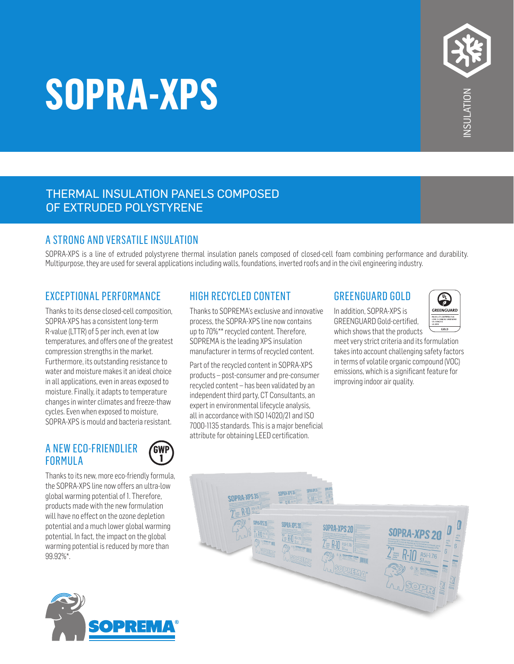# **SOPRA-XPS**

#### THERMAL INSULATION PANELS COMPOSED OF EXTRUDED POLYSTYRENE

### A STRONG AND VERSATILE INSULATION

SOPRA-XPS is a line of extruded polystyrene thermal insulation panels composed of closed-cell foam combining performance and durability. Multipurpose, they are used for several applications including walls, foundations, inverted roofs and in the civil engineering industry.

#### EXCEPTIONAL PERFORMANCE

Thanks to its dense closed-cell composition, SOPRA-XPS has a consistent long-term R-value (LTTR) of 5 per inch, even at low temperatures, and offers one of the greatest compression strengths in the market. Furthermore, its outstanding resistance to water and moisture makes it an ideal choice in all applications, even in areas exposed to moisture. Finally, it adapts to temperature changes in winter climates and freeze-thaw cycles. Even when exposed to moisture, SOPRA-XPS is mould and bacteria resistant.

#### A NEW ECO-FRIENDLIER FORMULA



Thanks to its new, more eco-friendly formula, the SOPRA-XPS line now offers an ultra-low global warming potential of 1. Therefore, products made with the new formulation will have no effect on the ozone depletion potential and a much lower global warming potential. In fact, the impact on the global warming potential is reduced by more than 99.92%\*.



#### HIGH RECYCLED CONTENT

Thanks to SOPREMA's exclusive and innovative process, the SOPRA-XPS line now contains up to 70%\*\* recycled content. Therefore, SOPREMA is the leading XPS insulation manufacturer in terms of recycled content.

Part of the recycled content in SOPRA-XPS products – post-consumer and pre-consumer recycled content – has been validated by an independent third party, CT Consultants, an expert in environmental lifecycle analysis, all in accordance with ISO 14020/21 and ISO 7000-1135 standards. This is a major beneficial attribute for obtaining LEED certification.

#### GREENGUARD GOLD

In addition, SOPRA-XPS is GREENGUARD Gold-certified, which shows that the products

G GREENGUARD ист свящию гов

meet very strict criteria and its formulation takes into account challenging safety factors in terms of volatile organic compound (VOC) emissions, which is a significant feature for improving indoor air quality.